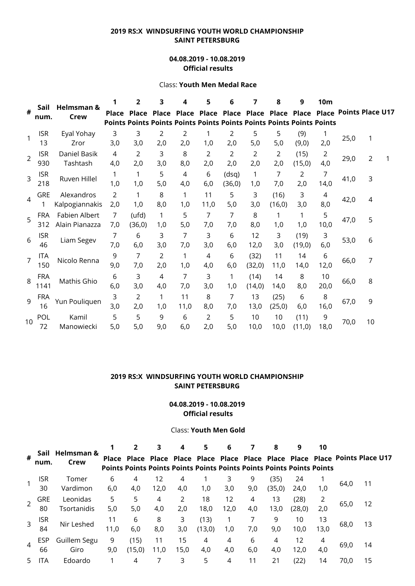# **2019 RS:X WINDSURFING YOUTH WORLD CHAMPIONSHIP SAINT PETERSBURG**

### **04.08.2019 - 10.08.2019 Official results**

#### Class: **Youth Men Medal Race**

|                | Sail               | Helmsman &<br>Crew              |              | 2                                                                                            | 3            | 4            | 5          | 6                       | 7               | 8               | 9                     | <b>10m</b> |                               |                |  |
|----------------|--------------------|---------------------------------|--------------|----------------------------------------------------------------------------------------------|--------------|--------------|------------|-------------------------|-----------------|-----------------|-----------------------|------------|-------------------------------|----------------|--|
| #              | num.               |                                 | <b>Place</b> | <b>Place</b><br><b>Points Points Points Points Points Points Points Points Points Points</b> | <b>Place</b> | <b>Place</b> |            | Place Place Place Place |                 |                 | Place                 |            | <b>Place Points Place U17</b> |                |  |
| $\mathbf{1}$   | <b>ISR</b><br>13   | Eyal Yohay<br>Zror              | 3<br>3,0     | 3<br>3,0                                                                                     | 2<br>2,0     | 2<br>2,0     | 1,0        | 2<br>2,0                | 5<br>5,0        | 5<br>5,0        | (9)<br>(9,0)          | 1<br>2,0   | 25,0                          | 1              |  |
| $\overline{2}$ | <b>ISR</b><br>930  | Daniel Basik<br>Tashtash        | 4<br>4,0     | 2<br>2,0                                                                                     | 3<br>3,0     | 8<br>8,0     | 2<br>2,0   | 2<br>2,0                | 2<br>2,0        | 2<br>2,0        | (15)<br>(15,0)        | 2<br>4,0   | 29,0                          | $\overline{2}$ |  |
| 3              | <b>ISR</b><br>218  | Ruven Hillel                    | 1,0          | 1<br>1,0                                                                                     | 5<br>5,0     | 4<br>4,0     | 6<br>6,0   | (dsq)<br>(36, 0)        | 1<br>1,0        | 7<br>7,0        | $\overline{2}$<br>2,0 | 7<br>14,0  | 41,0                          | 3              |  |
| $\overline{4}$ | <b>GRE</b>         | Alexandros<br>Kalpogiannakis    | 2<br>2,0     | 1<br>1,0                                                                                     | 8<br>8,0     | 1<br>1,0     | 11<br>11,0 | 5<br>5,0                | 3<br>3,0        | (16)<br>(16, 0) | 3<br>3,0              | 4<br>8,0   | 42,0                          | 4              |  |
| 5              | <b>FRA</b><br>312  | Fabien Albert<br>Alain Pianazza | 7<br>7,0     | (ufd)<br>(36, 0)                                                                             | 1<br>1,0     | 5<br>5,0     | 7<br>7,0   | 7<br>7,0                | 8<br>8,0        | 1,0             | 1<br>1,0              | 5<br>10,0  | 47,0                          | 5              |  |
| 6              | <b>ISR</b><br>46   | Liam Segev                      | 7<br>7,0     | 6<br>6,0                                                                                     | 3<br>3,0     | 7<br>7,0     | 3<br>3,0   | 6<br>6,0                | 12<br>12,0      | 3<br>3,0        | (19)<br>(19,0)        | 3<br>6,0   | 53,0                          | 6              |  |
| $\overline{7}$ | <b>ITA</b><br>150  | Nicolo Renna                    | 9<br>9,0     | 7<br>7,0                                                                                     | 2<br>2,0     | 1<br>1,0     | 4<br>4,0   | 6<br>6,0                | (32)<br>(32,0)  | 11<br>11,0      | 14<br>14,0            | 6<br>12,0  | 66,0                          | 7              |  |
| 8              | <b>FRA</b><br>1141 | Mathis Ghio                     | 6<br>6,0     | 3<br>3,0                                                                                     | 4<br>4,0     | 7<br>7,0     | 3<br>3,0   | 1<br>1,0                | (14)<br>(14, 0) | 14<br>14,0      | 8<br>8,0              | 10<br>20,0 | 66,0                          | 8              |  |
| 9              | <b>FRA</b><br>16   | Yun Pouliquen                   | 3<br>3,0     | $\overline{2}$<br>2,0                                                                        | 1<br>1,0     | 11<br>11,0   | 8<br>8,0   | 7<br>7,0                | 13<br>13,0      | (25)<br>(25, 0) | 6<br>6,0              | 8<br>16,0  | 67,0                          | 9              |  |
| 10             | POL<br>72          | Kamil<br>Manowiecki             | 5<br>5,0     | 5<br>5,0                                                                                     | 9<br>9,0     | 6<br>6,0     | 2<br>2,0   | 5<br>5,0                | 10<br>10,0      | 10<br>10,0      | (11)<br>(11,0)        | 9<br>18,0  | 70,0                          | 10             |  |

# **2019 RS:X WINDSURFING YOUTH WORLD CHAMPIONSHIP SAINT PETERSBURG**

#### **04.08.2019 - 10.08.2019 Official results**

#### Class: **Youth Men Gold**

|                |            | Sail Helmsman &<br>Crew |      |                                                                              |      | 3    | 4      | 5    | 6   |        | 8      | 9    | 10   |                                                                              |  |
|----------------|------------|-------------------------|------|------------------------------------------------------------------------------|------|------|--------|------|-----|--------|--------|------|------|------------------------------------------------------------------------------|--|
| #              | num.       |                         |      | <b>Points Points Points Points Points Points Points Points Points Points</b> |      |      |        |      |     |        |        |      |      | Place Place Place Place Place Place Place Place Place Place Points Place U17 |  |
| 1              | ISR.       | Tomer                   | 6    | 4                                                                            | 12   | 4    |        |      | 9   | (35)   | 24     |      | 64,0 | 11                                                                           |  |
|                | 30         | Vardimon                | 6,0  | 4,0                                                                          | 12,0 | 4,0  | 1,0    | 3,0  | 9,0 | (35,0) | 24,0   | 1,0  |      |                                                                              |  |
| $\overline{2}$ | <b>GRE</b> | Leonidas                | 5    | 5                                                                            | 4    | 2    | 18     | 12   | 4   | 13     | (28)   | 2    | 65,0 | 12                                                                           |  |
|                | 80         | Tsortanidis             | 5,0  | 5,0                                                                          | 4,0  | 2,0  | 18,0   | 12,0 | 4,0 | 13,0   | (28,0) | 2,0  |      |                                                                              |  |
| $\overline{3}$ | <b>ISR</b> | Nir Leshed              | 11   | 6                                                                            | 8    | 3    | (13)   |      |     | 9      | 10     | 13   | 68,0 | 13                                                                           |  |
|                | 84         |                         | 11,0 | 6,0                                                                          | 8,0  | 3,0  | (13,0) | 1,0  | 7,0 | 9,0    | 10,0   | 13,0 |      |                                                                              |  |
| $\overline{4}$ | <b>ESP</b> | Guillem Segu            | 9    | (15)                                                                         | 11   | 15   | 4      | 4    | 6   | 4      | 12     | 4    |      | 14                                                                           |  |
|                | 66         | Giro                    | 9,0  | (15,0)                                                                       | 11,0 | 15,0 | 4,0    | 4,0  | 6,0 | 4,0    | 12,0   | 4,0  | 69,0 |                                                                              |  |
| 5              | TA         | Edoardo                 |      | 4                                                                            |      | 3    | 5      | 4    | 11  | 21     | (22)   | 14   | 70,0 | 15                                                                           |  |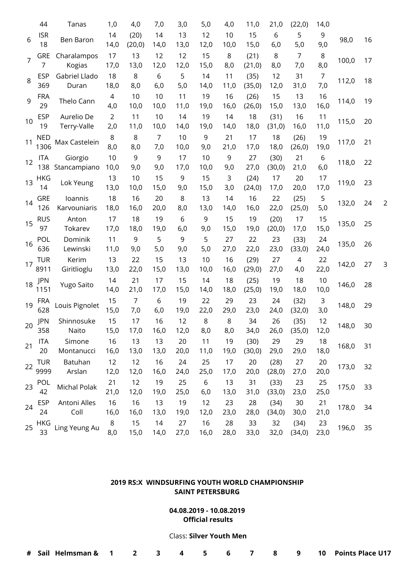|                | 44                 | Tanas                     | 1,0                   | 4,0                   | 7,0                   | 3,0        | 5,0        | 4,0        | 11,0            | 21,0            | (22,0)                | 14,0                  |       |    |                |
|----------------|--------------------|---------------------------|-----------------------|-----------------------|-----------------------|------------|------------|------------|-----------------|-----------------|-----------------------|-----------------------|-------|----|----------------|
| 6              | <b>ISR</b><br>18   | Ben Baron                 | 14<br>14,0            | (20)<br>(20, 0)       | 14<br>14,0            | 13<br>13,0 | 12<br>12,0 | 10<br>10,0 | 15<br>15,0      | 6<br>6,0        | 5<br>5,0              | 9<br>9,0              | 98,0  | 16 |                |
| $\overline{7}$ | <b>GRE</b><br>7    | Charalampos<br>Kogias     | 17<br>17,0            | 13<br>13,0            | 12<br>12,0            | 12<br>12,0 | 15<br>15,0 | 8<br>8,0   | (21)<br>(21, 0) | 8<br>8,0        | $\overline{7}$<br>7,0 | 8<br>8,0              | 100,0 | 17 |                |
| 8              | <b>ESP</b><br>369  | Gabriel Llado<br>Duran    | 18<br>18,0            | 8<br>8,0              | 6<br>6,0              | 5<br>5,0   | 14<br>14,0 | 11<br>11,0 | (35)<br>(35,0)  | 12<br>12,0      | 31<br>31,0            | $\overline{7}$<br>7,0 | 112,0 | 18 |                |
| 9              | <b>FRA</b><br>29   | Thelo Cann                | $\overline{4}$<br>4,0 | 10<br>10,0            | 10<br>10,0            | 11<br>11,0 | 19<br>19,0 | 16<br>16,0 | (26)<br>(26, 0) | 15<br>15,0      | 13<br>13,0            | 16<br>16,0            | 114,0 | 19 |                |
| 10             | <b>ESP</b><br>19   | Aurelio De<br>Terry-Valle | $\overline{2}$<br>2,0 | 11<br>11,0            | 10<br>10,0            | 14<br>14,0 | 19<br>19,0 | 14<br>14,0 | 18<br>18,0      | (31)<br>(31, 0) | 16<br>16,0            | 11<br>11,0            | 115,0 | 20 |                |
| 11             | <b>NED</b><br>1306 | Max Castelein             | 8<br>8,0              | 8<br>8,0              | $\overline{7}$<br>7,0 | 10<br>10,0 | 9<br>9,0   | 21<br>21,0 | 17<br>17,0      | 18<br>18,0      | (26)<br>(26, 0)       | 19<br>19,0            | 117,0 | 21 |                |
| 12             | <b>ITA</b><br>138  | Giorgio<br>Stancampiano   | 10<br>10,0            | 9<br>9,0              | 9<br>9,0              | 17<br>17,0 | 10<br>10,0 | 9<br>9,0   | 27<br>27,0      | (30)<br>(30, 0) | 21<br>21,0            | 6<br>6,0              | 118,0 | 22 |                |
| 13             | HKG<br>14          | Lok Yeung                 | 13<br>13,0            | 10<br>10,0            | 15<br>15,0            | 9<br>9,0   | 15<br>15,0 | 3<br>3,0   | (24)<br>(24, 0) | 17<br>17,0      | 20<br>20,0            | 17<br>17,0            | 119,0 | 23 |                |
| 14             | <b>GRE</b><br>126  | Ioannis<br>Karvouniaris   | 18<br>18,0            | 16<br>16,0            | 20<br>20,0            | 8<br>8,0   | 13<br>13,0 | 14<br>14,0 | 16<br>16,0      | 22<br>22,0      | (25)<br>(25, 0)       | 5<br>5,0              | 132,0 | 24 | $\overline{2}$ |
| 15             | <b>RUS</b><br>97   | Anton<br>Tokarev          | 17<br>17,0            | 18<br>18,0            | 19<br>19,0            | 6<br>6,0   | 9<br>9,0   | 15<br>15,0 | 19<br>19,0      | (20)<br>(20, 0) | 17<br>17,0            | 15<br>15,0            | 135,0 | 25 |                |
| 16             | <b>POL</b><br>636  | Dominik<br>Lewinski       | 11<br>11,0            | 9<br>9,0              | 5<br>5,0              | 9<br>9,0   | 5<br>5,0   | 27<br>27,0 | 22<br>22,0      | 23<br>23,0      | (33)<br>(33,0)        | 24<br>24,0            | 135,0 | 26 |                |
| 17             | TUR<br>8911        | Kerim<br>Giritlioglu      | 13<br>13,0            | 22<br>22,0            | 15<br>15,0            | 13<br>13,0 | 10<br>10,0 | 16<br>16,0 | (29)<br>(29,0)  | 27<br>27,0      | $\overline{4}$<br>4,0 | 22<br>22,0            | 142,0 | 27 | $\mathbf{3}$   |
| 18             | JPN<br>1151        | Yugo Saito                | 14<br>14,0            | 21<br>21,0            | 17<br>17,0            | 15<br>15,0 | 14<br>14,0 | 18<br>18,0 | (25)<br>(25, 0) | 19<br>19,0      | 18<br>18,0            | 10<br>10,0            | 146,0 | 28 |                |
| 19             | <b>FRA</b><br>628  | Louis Pignolet            | 15<br>15,0            | $\overline{7}$<br>7,0 | 6<br>6,0              | 19<br>19,0 | 22<br>22,0 | 29<br>29,0 | 23<br>23,0      | 24<br>24,0      | (32)<br>(32, 0)       | 3<br>3,0              | 148,0 | 29 |                |
| 20             | <b>JPN</b><br>358  | Shinnosuke<br>Naito       | 15<br>15,0            | 17<br>17,0            | 16<br>16,0            | 12<br>12,0 | 8<br>8,0   | 8<br>8,0   | 34<br>34,0      | 26<br>26,0      | (35)<br>(35, 0)       | 12<br>12,0            | 148,0 | 30 |                |
| 21             | <b>ITA</b><br>20   | Simone<br>Montanucci      | 16<br>16,0            | 13<br>13,0            | 13<br>13,0            | 20<br>20,0 | 11<br>11,0 | 19<br>19,0 | (30)<br>(30, 0) | 29<br>29,0      | 29<br>29,0            | 18<br>18,0            | 168,0 | 31 |                |
| 22             | <b>TUR</b><br>9999 | Batuhan<br>Arslan         | 12<br>12,0            | 12<br>12,0            | 16<br>16,0            | 24<br>24,0 | 25<br>25,0 | 17<br>17,0 | 20<br>20,0      | (28)<br>(28, 0) | 27<br>27,0            | 20<br>20,0            | 173,0 | 32 |                |
| 23             | POL<br>42          | Michal Polak              | 21<br>21,0            | 12<br>12,0            | 19<br>19,0            | 25<br>25,0 | 6<br>6,0   | 13<br>13,0 | 31<br>31,0      | (33)<br>(33,0)  | 23<br>23,0            | 25<br>25,0            | 175,0 | 33 |                |
| 24             | <b>ESP</b><br>24   | Antoni Alles<br>Coll      | 16<br>16,0            | 16<br>16,0            | 13<br>13,0            | 19<br>19,0 | 12<br>12,0 | 23<br>23,0 | 28<br>28,0      | (34)<br>(34, 0) | 30<br>30,0            | 21<br>21,0            | 178,0 | 34 |                |
| 25             | <b>HKG</b><br>33   | Ling Yeung Au             | 8<br>8,0              | 15<br>15,0            | 14<br>14,0            | 27<br>27,0 | 16<br>16,0 | 28<br>28,0 | 33<br>33,0      | 32<br>32,0      | (34)<br>(34, 0)       | 23<br>23,0            | 196,0 | 35 |                |

# **2019 RS:X WINDSURFING YOUTH WORLD CHAMPIONSHIP SAINT PETERSBURG**

**04.08.2019 - 10.08.2019 Official results** 

#### Class: **Silver Youth Men**

| # Sail Helmsman & 1 2 3 4 5 6 7 8 9 10 Points Place U17 |
|---------------------------------------------------------|
|---------------------------------------------------------|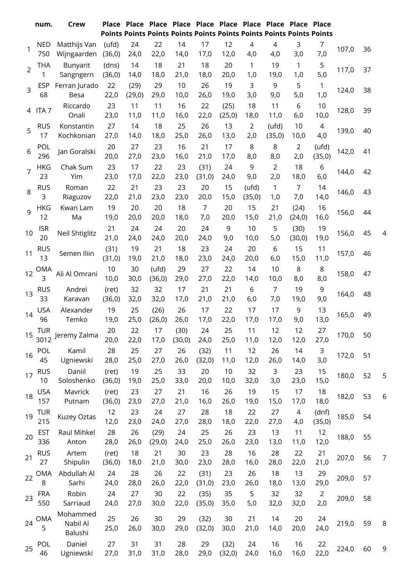|                | num.              | <b>Crew</b>                     |                  |            |                  |            |                       | Place Place Place Place Place Place Place Place Place Place<br>Points Points Points Points Points Points Points Points Points Points |                     |                |                       |                  |       |    |                |
|----------------|-------------------|---------------------------------|------------------|------------|------------------|------------|-----------------------|--------------------------------------------------------------------------------------------------------------------------------------|---------------------|----------------|-----------------------|------------------|-------|----|----------------|
| 1              | <b>NED</b>        | Matthijs Van                    | (ufd)            | 24         | 22               | 14         | 17                    | 12                                                                                                                                   | 4                   | $\overline{4}$ | 3                     | 7                | 107,0 | 36 |                |
|                | 750               | Wijngaarden                     | (36, 0)          | 24,0       | 22,0             | 14,0       | 17,0                  | 12,0                                                                                                                                 | 4,0                 | 4,0            | 3,0                   | 7,0              |       |    |                |
| $\overline{2}$ | <b>THA</b><br>1   | Bunyarit<br>Sangngern           | (dns)<br>(36, 0) | 14<br>14,0 | 18<br>18,0       | 21<br>21,0 | 18<br>18,0            | 20<br>20,0                                                                                                                           | $\mathbf{1}$<br>1,0 | 19<br>19,0     | 1<br>1,0              | 5<br>5,0         | 117,0 | 37 |                |
|                | <b>ESP</b>        | Ferran Jurado                   | 22               | (29)       | 29               | 10         | 26                    | 19                                                                                                                                   | 3                   | 9              | 5                     | $\mathbf{1}$     |       |    |                |
| 3              | 68                | Besa                            | 22,0             | (29,0)     | 29,0             | 10,0       | 26,0                  | 19,0                                                                                                                                 | 3,0                 | 9,0            | 5,0                   | 1,0              | 124,0 | 38 |                |
|                | 4 ITA 7           | Riccardo                        | 23               | 11         | 11               | 16         | 22                    | (25)                                                                                                                                 | 18                  | 11             | 6                     | 10               | 128,0 | 39 |                |
|                |                   | Onali                           | 23,0             | 11,0       | 11,0             | 16,0       | 22,0                  | (25, 0)                                                                                                                              | 18,0                | 11,0           | 6,0                   | 10,0             |       |    |                |
| 5              | <b>RUS</b>        | Konstantin                      | 27               | 14         | 18               | 25         | 26                    | 13                                                                                                                                   | $\overline{2}$      | (ufd)          | 10                    | 4                | 139,0 | 40 |                |
|                | 17                | Kochkonian                      | 27,0             | 14,0       | 18,0             | 25,0       | 26,0                  | 13,0                                                                                                                                 | 2,0                 | (35,0)         | 10,0                  | 4,0              |       |    |                |
| 6              | POL<br>296        | Jan Goralski                    | 20<br>20,0       | 27<br>27,0 | 23<br>23,0       | 16<br>16,0 | 21<br>21,0            | 17<br>17,0                                                                                                                           | 8<br>8,0            | 8<br>8,0       | $\overline{2}$<br>2,0 | (ufd)<br>(35, 0) | 142,0 | 41 |                |
| 7              | <b>HKG</b><br>23  | Chak Sum                        | 23               | 17         | 22               | 23         | (31)                  | 24                                                                                                                                   | 9                   | $\overline{2}$ | 18                    | 6                | 144,0 | 42 |                |
|                |                   | Yim                             | 23,0             | 17,0       | 22,0             | 23,0       | (31,0)                | 24,0                                                                                                                                 | 9,0                 | 2,0            | 18,0                  | 6,0              |       |    |                |
| 8              | <b>RUS</b><br>3   | Roman<br>Riaguzov               | 22<br>22,0       | 21<br>21,0 | 23<br>23,0       | 23<br>23,0 | 20<br>20,0            | 15<br>15,0                                                                                                                           | (ufd)<br>(35,0)     | 1<br>1,0       | $\overline{7}$<br>7,0 | 14<br>14,0       | 146,0 | 43 |                |
| 9              | <b>HKG</b><br>12  | Kwan Lam<br>Ma                  | 19<br>19,0       | 20<br>20,0 | 20<br>20,0       | 18<br>18,0 | $\overline{7}$<br>7,0 | 20<br>20,0                                                                                                                           | 15<br>15,0          | 21<br>21,0     | (24)<br>(24, 0)       | 16<br>16,0       | 156,0 | 44 |                |
| 10             | <b>ISR</b>        | <b>Neil Shtiglitz</b>           | 21               | 24         | 24               | 20         | 24                    | 9                                                                                                                                    | 10                  | 5              | (30)                  | 19               | 156,0 | 45 | 4              |
|                | 20                |                                 | 21,0             | 24,0       | 24,0             | 20,0       | 24,0                  | 9,0                                                                                                                                  | 10,0                | 5,0            | (30, 0)               | 19,0             |       |    |                |
| 11             | <b>RUS</b><br>13  | Semen Iliin                     | (31)<br>(31, 0)  | 19<br>19,0 | 21<br>21,0       | 18<br>18,0 | 23<br>23,0            | 24<br>24,0                                                                                                                           | 20<br>20,0          | 6<br>6,0       | 15<br>15,0            | 11<br>11,0       | 157,0 | 46 |                |
| 12             | <b>OMA</b><br>3   | Ali Al Omrani                   | $10$<br>10,0     | 30<br>30,0 | (ufd)<br>(36, 0) | 29<br>29,0 | 27<br>27,0            | 22<br>22,0                                                                                                                           | 14<br>14,0          | 10<br>10,0     | 8<br>8,0              | 8<br>8,0         | 158,0 | 47 |                |
|                | <b>RUS</b>        | Andrei                          | (ret)            | 32         | 32               | 17         | 21                    | 21                                                                                                                                   | 6                   | $\overline{7}$ | 19                    | 9                |       |    |                |
| 13             | 33                | Karavan                         | (36, 0)          | 32,0       | 32,0             | 17,0       | 21,0                  | 21,0                                                                                                                                 | 6,0                 | 7,0            | 19,0                  | 9,0              | 164,0 | 48 |                |
| 14             | <b>USA</b><br>96  | Alexander<br>Temko              | 19<br>19,0       | 25<br>25,0 | (26)<br>(26, 0)  | 26<br>26,0 | 17<br>17,0            | 22<br>22,0                                                                                                                           | 17<br>17,0          | 17<br>17,0     | 9<br>9,0              | 13<br>13,0       | 165,0 | 49 |                |
|                | <b>TUR</b>        |                                 | 20               | 22         | 17               | (30)       | 24                    | 25                                                                                                                                   | 11                  | 12             | 12                    | 27               |       |    |                |
| 15             | 3012              | Jeremy Zalma                    | 20,0             | 22,0       | 17,0             | (30, 0)    | 24,0                  | 25,0                                                                                                                                 | 11,0                | 12,0           | 12,0                  | 27,0             | 170,0 | 50 |                |
| 16             | <b>POL</b>        | Kamil                           | 28               | 25         | 27               | 26         | (32)                  | 11                                                                                                                                   | 12                  | 26             | 14                    | 3                | 172,0 | 51 |                |
|                | 45                | Ugniewski                       | 28,0             | 25,0       | 27,0             | 26,0       | (32,0)                | 11,0                                                                                                                                 | 12,0                | 26,0           | 14,0                  | 3,0              |       |    |                |
| 17             | <b>RUS</b>        | Daniil                          | (ret)            | 19         | 25               | 33         | 20                    | 10                                                                                                                                   | 32                  | 3              | 23                    | 15               | 180,0 | 52 | 5              |
|                | 10                | Soloshenko                      | (36, 0)          | 19,0       | 25,0             | 33,0       | 20,0                  | 10,0                                                                                                                                 | 32,0                | 3,0            | 23,0                  | 15,0             |       |    |                |
| 18             | <b>USA</b><br>157 | Mavrick<br>Putnam               | (ret)<br>(36, 0) | 23<br>23,0 | 27<br>27,0       | 21<br>21,0 | 16<br>16,0            | 26<br>26,0                                                                                                                           | 19<br>19,0          | 15<br>15,0     | 17<br>17,0            | 18<br>18,0       | 182,0 | 53 | 6              |
|                | <b>TUR</b>        |                                 | 12               | 23         | 24               | 27         | 28                    | 18                                                                                                                                   | 22                  | 27             | 4                     | (dnf)            |       |    |                |
| 19             | 215               | Kuzey Oztas                     | 12,0             | 23,0       | 24,0             | 27,0       | 28,0                  | 18,0                                                                                                                                 | 22,0                | 27,0           | 4,0                   | (35, 0)          | 185,0 | 54 |                |
| 20             | <b>EST</b>        | Raul Mihkel                     | 28               | 26         | (29)             | 24         | 25                    | 26                                                                                                                                   | 23                  | 13             | 11                    | 12               | 188,0 | 55 |                |
|                | 336               | Anton                           | 28,0             | 26,0       | (29,0)           | 24,0       | 25,0                  | 26,0                                                                                                                                 | 23,0                | 13,0           | 11,0                  | 12,0             |       |    |                |
| 21             | <b>RUS</b><br>27  | Artem<br>Shipulin               | (ret)<br>(36, 0) | 18<br>18,0 | 21<br>21,0       | 30<br>30,0 | 23<br>23,0            | 28<br>28,0                                                                                                                           | 16<br>16,0          | 28<br>28,0     | 22<br>22,0            | 21<br>21,0       | 207,0 | 56 | $\overline{7}$ |
|                | <b>OMA</b>        | Abdullah Al                     | 24               | 28         | 26               | 22         | (31)                  | 23                                                                                                                                   | 26                  | 18             | 13                    | 29               |       |    |                |
| 22             | 8                 | Sarhi                           | 24,0             | 28,0       | 26,0             | 22,0       | (31, 0)               | 23,0                                                                                                                                 | 26,0                | 18,0           | 13,0                  | 29,0             | 209,0 | 57 |                |
| 23             | <b>FRA</b>        | Robin                           | 24               | 27         | 30               | 22         | (35)                  | 35                                                                                                                                   | 5                   | 32             | 32                    | $\overline{2}$   | 209,0 | 58 |                |
|                | 550               | Sarriaud                        | 24,0             | 27,0       | 30,0             | 22,0       | (35, 0)               | 35,0                                                                                                                                 | 5,0                 | 32,0           | 32,0                  | 2,0              |       |    |                |
| 24             | <b>OMA</b><br>5   | Mohammed<br>Nabil Al<br>Balushi | 25<br>25,0       | 26<br>26,0 | 30<br>30,0       | 29<br>29,0 | (32)<br>(32,0)        | 30<br>30,0                                                                                                                           | 21<br>21,0          | 14<br>14,0     | 20<br>20,0            | 24<br>24,0       | 219,0 | 59 | 8              |
| 25             | POL<br>46         | Daniel<br>Ugniewski             | 27<br>27,0       | 31<br>31,0 | 31<br>31,0       | 28<br>28,0 | 29<br>29,0            | (32)<br>(32,0)                                                                                                                       | 24<br>24,0          | 16<br>16,0     | 16<br>16,0            | 22<br>22,0       | 224,0 | 60 | 9              |